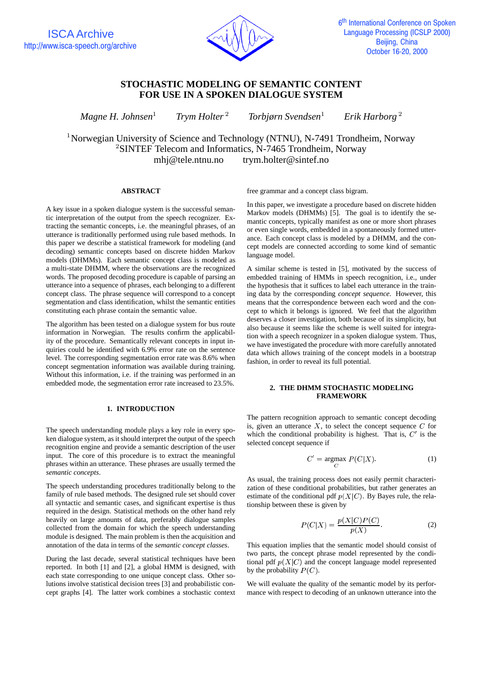

# **STOCHASTIC MODELING OF SEMANTIC CONTENT FOR USE IN A SPOKEN DIALOGUE SYSTEM**

*Magne H. Johnsen Trym Holter Torbjørn Svendsen Erik Harborg*

<sup>1</sup>Norwegian University of Science and Technology (NTNU), N-7491 Trondheim, Norway  ${}^{2}$ SINTEF Telecom and Informatics, N-7465 Trondheim, Norway mhj@tele.ntnu.no trym.holter@sintef.no

## **ABSTRACT**

A key issue in a spoken dialogue system is the successful semantic interpretation of the output from the speech recognizer. Extracting the semantic concepts, i.e. the meaningful phrases, of an utterance is traditionally performed using rule based methods. In this paper we describe a statistical framework for modeling (and decoding) semantic concepts based on discrete hidden Markov models (DHMMs). Each semantic concept class is modeled as a multi-state DHMM, where the observations are the recognized words. The proposed decoding procedure is capable of parsing an utterance into a sequence of phrases, each belonging to a different concept class. The phrase sequence will correspond to a concept segmentation and class identification, whilst the semantic entities constituting each phrase contain the semantic value.

The algorithm has been tested on a dialogue system for bus route information in Norwegian. The results confirm the applicability of the procedure. Semantically relevant concepts in input inquiries could be identified with 6.9% error rate on the sentence level. The corresponding segmentation error rate was 8.6% when concept segmentation information was available during training. Without this information, i.e. if the training was performed in an embedded mode, the segmentation error rate increased to 23.5%.

## **1. INTRODUCTION**

The speech understanding module plays a key role in every spoken dialogue system, as it should interpret the output of the speech recognition engine and provide a semantic description of the user input. The core of this procedure is to extract the meaningful phrases within an utterance. These phrases are usually termed the *semantic concepts*.

The speech understanding procedures traditionally belong to the family of rule based methods. The designed rule set should cover all syntactic and semantic cases, and significant expertise is thus required in the design. Statistical methods on the other hand rely heavily on large amounts of data, preferably dialogue samples collected from the domain for which the speech understanding module is designed. The main problem is then the acquisition and annotation of the data in terms of the *semantic concept classes*.

During the last decade, several statistical techniques have been reported. In both [1] and [2], a global HMM is designed, with each state corresponding to one unique concept class. Other solutions involve statistical decision trees [3] and probabilistic concept graphs [4]. The latter work combines a stochastic context free grammar and a concept class bigram.

In this paper, we investigate a procedure based on discrete hidden Markov models (DHMMs) [5]. The goal is to identify the semantic concepts, typically manifest as one or more short phrases or even single words, embedded in a spontaneously formed utterance. Each concept class is modeled by a DHMM, and the concept models are connected according to some kind of semantic language model.

A similar scheme is tested in [5], motivated by the success of embedded training of HMMs in speech recognition, i.e., under the hypothesis that it suffices to label each utterance in the training data by the corresponding *concept sequence*. However, this means that the correspondence between each word and the concept to which it belongs is ignored. We feel that the algorithm deserves a closer investigation, both because of its simplicity, but also because it seems like the scheme is well suited for integration with a speech recognizer in a spoken dialogue system. Thus, we have investigated the procedure with more carefully annotated data which allows training of the concept models in a bootstrap fashion, in order to reveal its full potential.

## **2. THE DHMM STOCHASTIC MODELING FRAMEWORK**

The pattern recognition approach to semantic concept decoding is, given an utterance  $X$ , to select the concept sequence  $C$  for which the conditional probability is highest. That is,  $C'$  is the selected concept sequence if

$$
C' = \underset{C}{\text{argmax}} \ P(C|X). \tag{1}
$$

As usual, the training process does not easily permit characterization of these conditional probabilities, but rather generates an estimate of the conditional pdf  $p(X|C)$ . By Bayes rule, the relationship between these is given by

$$
P(C|X) = \frac{p(X|C)P(C)}{p(X)}.
$$
 (2)

This equation implies that the semantic model should consist of two parts, the concept phrase model represented by the conditional pdf  $p(X|C)$  and the concept language model represented by the probability  $P(C)$ .

We will evaluate the quality of the semantic model by its performance with respect to decoding of an unknown utterance into the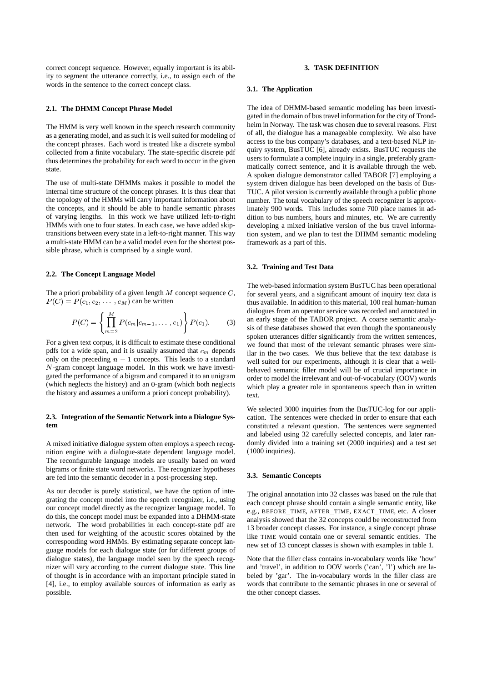correct concept sequence. However, equally important is its ability to segment the utterance correctly, i.e., to assign each of the words in the sentence to the correct concept class.

#### **2.1. The DHMM Concept Phrase Model**

The HMM is very well known in the speech research community as a generating model, and as such it is well suited for modeling of the concept phrases. Each word is treated like a discrete symbol collected from a finite vocabulary. The state-specific discrete pdf thus determines the probability for each word to occur in the given state.

The use of multi-state DHMMs makes it possible to model the internal time structure of the concept phrases. It is thus clear that the topology of the HMMs will carry important information about the concepts, and it should be able to handle semantic phrases of varying lengths. In this work we have utilized left-to-right HMMs with one to four states. In each case, we have added skiptransitions between every state in a left-to-right manner. This way a multi-state HMM can be a valid model even for the shortest possible phrase, which is comprised by a single word.

#### **2.2. The Concept Language Model**

The a priori probability of a given length  $M$  concept sequence  $C$ ,  $P(C) = P(c_1, c_2, \dots, c_M)$  can be written

$$
P(C) = \left\{ \prod_{m=2}^{M} P(c_m | c_{m-1}, \dots, c_1) \right\} P(c_1).
$$
 (3)

For a given text corpus, it is difficult to estimate these conditional pdfs for a wide span, and it is usually assumed that  $c_m$  depends only on the preceding  $n - 1$  concepts. This leads to a standard  $N$ -gram concept language model. In this work we have investigated the performance of a bigram and compared it to an unigram (which neglects the history) and an  $0$ -gram (which both neglects the history and assumes a uniform a priori concept probability).

## **2.3. Integration of the Semantic Network into a Dialogue System**

A mixed initiative dialogue system often employs a speech recognition engine with a dialogue-state dependent language model. The reconfigurable language models are usually based on word bigrams or finite state word networks. The recognizer hypotheses are fed into the semantic decoder in a post-processing step.

As our decoder is purely statistical, we have the option of integrating the concept model into the speech recognizer, i.e., using our concept model directly as the recognizer language model. To do this, the concept model must be expanded into a DHMM-state network. The word probabilities in each concept-state pdf are then used for weighting of the acoustic scores obtained by the corresponding word HMMs. By estimating separate concept language models for each dialogue state (or for different groups of dialogue states), the language model seen by the speech recognizer will vary according to the current dialogue state. This line of thought is in accordance with an important principle stated in [4], i.e., to employ available sources of information as early as possible.

## **3. TASK DEFINITION**

#### **3.1. The Application**

The idea of DHMM-based semantic modeling has been investigated in the domain of bustravel information for the city of Trondheim in Norway. The task was chosen due to several reasons. First of all, the dialogue has a manageable complexity. We also have access to the bus company's databases, and a text-based NLP inquiry system, BusTUC [6], already exists. BusTUC requests the users to formulate a complete inquiry in a single, preferably grammatically correct sentence, and it is available through the web. A spoken dialogue demonstrator called TABOR [7] employing a system driven dialogue has been developed on the basis of Bus-TUC. A pilot version is currently available through a public phone number. The total vocabulary of the speech recognizer is approximately 900 words. This includes some 700 place names in addition to bus numbers, hours and minutes, etc. We are currently developing a mixed initiative version of the bus travel information system, and we plan to test the DHMM semantic modeling framework as a part of this.

#### **3.2. Training and Test Data**

The web-based information system BusTUC has been operational for several years, and a significant amount of inquiry text data is thus available. In addition to this material, 100 real human-human dialogues from an operator service was recorded and annotated in an early stage of the TABOR project. A coarse semantic analysis of these databases showed that even though the spontaneously spoken utterances differ significantly from the written sentences, we found that most of the relevant semantic phrases were similar in the two cases. We thus believe that the text database is well suited for our experiments, although it is clear that a wellbehaved semantic filler model will be of crucial importance in order to model the irrelevant and out-of-vocabulary (OOV) words which play a greater role in spontaneous speech than in written text.

We selected 3000 inquiries from the BusTUC-log for our application. The sentences were checked in order to ensure that each constituted a relevant question. The sentences were segmented and labeled using 32 carefully selected concepts, and later randomly divided into a training set (2000 inquiries) and a test set (1000 inquiries).

#### **3.3. Semantic Concepts**

The original annotation into 32 classes was based on the rule that each concept phrase should contain a single semantic entity, like e.g., BEFORE\_TIME, AFTER\_TIME, EXACT\_TIME, etc. A closer analysis showed that the 32 concepts could be reconstructed from 13 broader concept classes. For instance, a single concept phrase like TIME would contain one or several semantic entities. The new set of 13 concept classes is shown with examples in table 1.

Note that the filler class contains in-vocabulary words like 'how' and 'travel', in addition to OOV words ('can', 'I') which are labeled by 'gar'. The in-vocabulary words in the filler class are words that contribute to the semantic phrases in one or several of the other concept classes.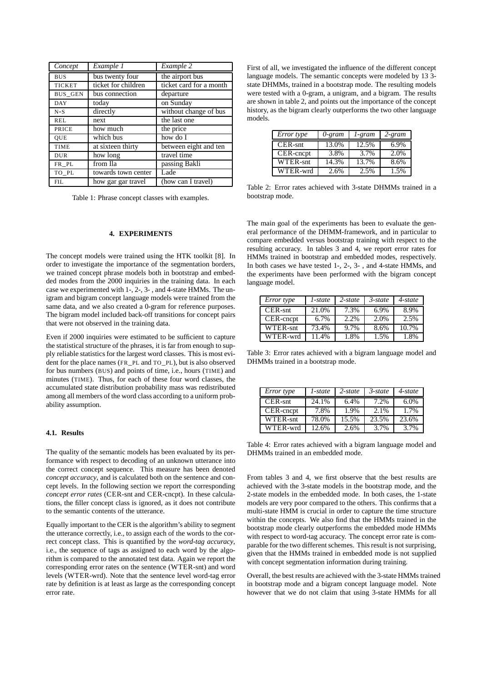| Concept        | Example 1           | Example 2               |
|----------------|---------------------|-------------------------|
| <b>BUS</b>     | bus twenty four     | the airport bus         |
| <b>TICKET</b>  | ticket for children | ticket card for a month |
| <b>BUS_GEN</b> | bus connection      | departure               |
| <b>DAY</b>     | today               | on Sunday               |
| $N-S$          | directly            | without change of bus   |
| <b>REL</b>     | next                | the last one            |
| PRICE          | how much            | the price               |
| <b>OUE</b>     | which bus           | how do I                |
| <b>TIME</b>    | at sixteen thirty   | between eight and ten   |
| <b>DUR</b>     | how long            | travel time             |
| FR_PL          | from Ila            | passing Bakli           |
| TO PL          | towards town center | Lade                    |
| <b>FIL</b>     | how gar gar travel  | (how can I travel)      |

Table 1: Phrase concept classes with examples.

## **4. EXPERIMENTS**

The concept models were trained using the HTK toolkit [8]. In order to investigate the importance of the segmentation borders, we trained concept phrase models both in bootstrap and embedded modes from the 2000 inquiries in the training data. In each case we experimented with 1-, 2-, 3- , and 4-state HMMs. The unigram and bigram concept language models were trained from the same data, and we also created a 0-gram for reference purposes. The bigram model included back-off transitions for concept pairs that were not observed in the training data.

Even if 2000 inquiries were estimated to be sufficient to capture the statistical structure of the phrases, it is far from enough to supply reliable statistics for the largest word classes. This is most evident for the place names (FR\_PL and TO\_PL), but is also observed for bus numbers (BUS) and points of time, i.e., hours (TIME) and minutes (TIME). Thus, for each of these four word classes, the accumulated state distribution probability mass was redistributed among all members of the word class according to a uniform probability assumption.

## **4.1. Results**

The quality of the semantic models has been evaluated by its performance with respect to decoding of an unknown utterance into the correct concept sequence. This measure has been denoted *concept accuracy*, and is calculated both on the sentence and concept levels. In the following section we report the corresponding *concept error rates* (CER-snt and CER-cncpt). In these calculations, the filler concept class is ignored, as it does not contribute to the semantic contents of the utterance.

Equally important to the CER is the algorithm's ability to segment the utterance correctly, i.e., to assign each of the words to the correct concept class. This is quantified by the *word-tag accuracy*, i.e., the sequence of tags as assigned to each word by the algorithm is compared to the annotated test data. Again we report the corresponding error rates on the sentence (WTER-snt) and word levels (WTER-wrd). Note that the sentence level word-tag error rate by definition is at least as large as the corresponding concept error rate.

First of all, we investigated the influence of the different concept language models. The semantic concepts were modeled by 13 3 state DHMMs, trained in a bootstrap mode. The resulting models were tested with a 0-gram, a unigram, and a bigram. The results are shown in table 2, and points out the importance of the concept history, as the bigram clearly outperforms the two other language models.

| Error type | 0-gram | 1-gram | 2-gram |
|------------|--------|--------|--------|
| $CER-snt$  | 13.0%  | 12.5%  | 6.9%   |
| CER-cncpt  | 3.8%   | 3.7%   | 2.0%   |
| WTER-snt   | 14.3%  | 13.7%  | 8.6%   |
| WTER-wrd   | 2.6%   | 2.5%   | 1.5%   |

Table 2: Error rates achieved with 3-state DHMMs trained in a bootstrap mode.

The main goal of the experiments has been to evaluate the general performance of the DHMM-framework, and in particular to compare embedded versus bootstrap training with respect to the resulting accuracy. In tables 3 and 4, we report error rates for HMMs trained in bootstrap and embedded modes, respectively. In both cases we have tested 1-, 2-, 3- , and 4-state HMMs, and the experiments have been performed with the bigram concept language model.

| Error type | 1-state | $2$ -state | $3$ -state | 4-state |
|------------|---------|------------|------------|---------|
| $CER-snt$  | 21.0%   | 7.3%       | 6.9%       | 8.9%    |
| CER-cncpt  | 6.7%    | 2.2%       | 2.0%       | 2.5%    |
| WTER-snt   | 73.4%   | 9.7%       | 8.6%       | 10.7%   |
| WTER-wrd   | 11.4%   | 1.8%       | 1.5%       | 1.8%    |

Table 3: Error rates achieved with a bigram language model and DHMMs trained in a bootstrap mode.

| Error type | 1-state | $2$ -state | $3$ -state | $4$ -state |
|------------|---------|------------|------------|------------|
| $CER-snt$  | 24.1%   | 6.4%       | 7.2%       | 6.0%       |
| CER-cncpt  | 7.8%    | 1.9%       | 2.1%       | 1.7%       |
| WTER-snt   | 78.0%   | 15.5%      | 23.5%      | 23.6%      |
| WTER-wrd   | 12.6%   | 2.6%       | 3.7%       | 3.7%       |

Table 4: Error rates achieved with a bigram language model and DHMMs trained in an embedded mode.

From tables 3 and 4, we first observe that the best results are achieved with the 3-state models in the bootstrap mode, and the 2-state models in the embedded mode. In both cases, the 1-state models are very poor compared to the others. This confirms that a multi-state HMM is crucial in order to capture the time structure within the concepts. We also find that the HMMs trained in the bootstrap mode clearly outperforms the embedded mode HMMs with respect to word-tag accuracy. The concept error rate is comparable for the two different schemes. This result is not surprising, given that the HMMs trained in embedded mode is not supplied with concept segmentation information during training.

Overall, the best results are achieved with the 3-state HMMs trained in bootstrap mode and a bigram concept language model. Note however that we do not claim that using 3-state HMMs for all